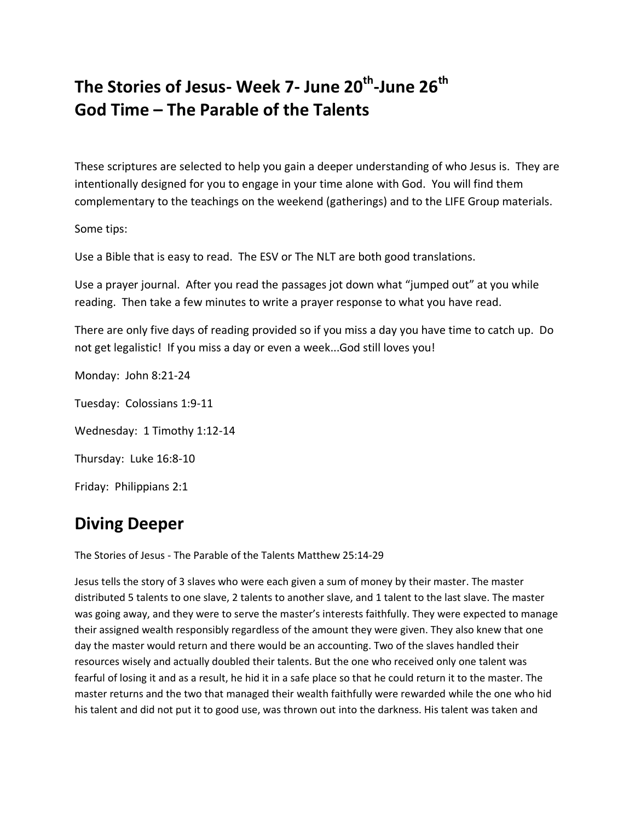## **The Stories of Jesus- Week 7- June 20th -June 26th God Time – The Parable of the Talents**

These scriptures are selected to help you gain a deeper understanding of who Jesus is. They are intentionally designed for you to engage in your time alone with God. You will find them complementary to the teachings on the weekend (gatherings) and to the LIFE Group materials.

Some tips:

Use a Bible that is easy to read. The ESV or The NLT are both good translations.

Use a prayer journal. After you read the passages jot down what "jumped out" at you while reading. Then take a few minutes to write a prayer response to what you have read.

There are only five days of reading provided so if you miss a day you have time to catch up. Do not get legalistic! If you miss a day or even a week...God still loves you!

Monday: John 8:21-24 Tuesday: Colossians 1:9-11 Wednesday: 1 Timothy 1:12-14 Thursday: Luke 16:8-10 Friday: Philippians 2:1

## **Diving Deeper**

The Stories of Jesus - The Parable of the Talents Matthew 25:14-29

Jesus tells the story of 3 slaves who were each given a sum of money by their master. The master distributed 5 talents to one slave, 2 talents to another slave, and 1 talent to the last slave. The master was going away, and they were to serve the master's interests faithfully. They were expected to manage their assigned wealth responsibly regardless of the amount they were given. They also knew that one day the master would return and there would be an accounting. Two of the slaves handled their resources wisely and actually doubled their talents. But the one who received only one talent was fearful of losing it and as a result, he hid it in a safe place so that he could return it to the master. The master returns and the two that managed their wealth faithfully were rewarded while the one who hid his talent and did not put it to good use, was thrown out into the darkness. His talent was taken and